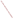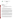

#### **UNITED STATES ENVIRONMENTAL PROTECTION AGENCY REGION IX 75 Hawthorne Street San Francisco, CA 94105**

March 26, 2009

Nora Macariola-See Project Manager, EV21 Naval Facilities Engineering Command, Pacific 258 Makalapa Drive, Suite 100 Pearl Harbor, HI 96860-3134

# Subject: EPA comments on the Mariana Islands Range Complex (MIRC) Draft Environmental Impact Statement/Overseas Environmental Impact Statement, Mariana Islands (CEQ# 20090017)

Dear Ms. Macariola-See:

The U.S. Environmental Protection Agency (EPA) has reviewed the above-referenced document pursuant to the National Environmental Policy Act (NEPA), Council on Environmental Quality (CEQ) regulations (40 CFR Parts 1500-1508), and our NEPA review authority under Section 309 of the Clean Air Act. Our detailed comments are enclosed.

Based on our review, we have rated the Draft Environmental Impact Statement/Overseas Environmental Impact Statement (DEIS) as Environmental Concerns – Insufficient Information (EC-2) (see enclosed "Summary of Rating Definitions"). The DEIS assesses the impacts from military training; research, development, testing, and evaluation activities; and range upgrades within the MIRC. We have concerns regarding potential impacts to coral reef ecosystems, water quality, and the threatened green sea turtle. We also believe the impact assessment approach does not fully assess all impacts, and that the DEIS frequently concludes that project impacts will not be significant without substantiating these conclusions.

The impact assessment approach focused on identifying impacts from individual training activities that occur at multiple training locations; however, the impact assessment did not fully consider stressors resulting from multiple training activities occurring at the same location. In addition, the DEIS does not sufficiently distinguish among the impacts of the alternatives, nor does it consider the cumulative impacts to resources from the training and other actions that will occur as part of the planned expansion of U.S. military facilities and relocation of U.S. military personnel to Guam and the Commonwealth of the Northern Mariana Islands (Guam military buildup).

We believe that a geography-based or training site-specific approach would improve the impact assessment, and could reveal significant impacts to resources at some potential training locations. Site-specific information regarding direct, indirect, and cumulative impacts is important for decision-makers and the public, and should be considered in the selection of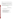training sites for exercises. We recommend a geography-based approach be adopted for the Final EIS.

We also recommend an alternative be evaluated with additional mitigation measures. For example, we suggest a mitigated alternative that avoids, to the greatest extent possible, training activities in the Marianas Trench Marine National Monument, an area recognized for its biological and scientific importance.

EPA appreciates the opportunity to review this DEIS. When the Final EIS is released for public review, please send one copy to the address above (mail code: CED-2). If you have any questions, please contact me at (415) 972-3521, or contact Karen Vitulano, the lead reviewer for this project, at 415-947-4178 or vitulano.karen@epa.gov.

Sincerely,

 $\sqrt{s}/$ 

Kathleen M. Goforth, Manager Environmental Review Office (CED-2)

Enclosure: Summary of EPA Rating Definitions EPA's Detailed Comments

cc: Frank Rabauliman, Director, CNMI Division of Environmental Quality Brian Bearden, CNMI Division of Environmental Quality John Joyner, CNMI Office of Coastal Resources Management Michael Molina, U.S. Fish and Wildlife Service George Young, Frank Dayton, U.S. Army Corps of Engineers Gerry Davis, National Marine Fisheries Service Lorilee Crisostomo, Administrator, Guam Environmental Protection Agency Mike Gawel, Guam Environmental Protection Agency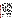## **Insufficient Disclosure of Impacts**

EPA is concerned that the impacts from the proposed action are not properly disclosed in the DEIS; conclusions of insignificance are not substantiated; and the lack of knowledge regarding resource impacts is presented as indicative of no impact. These trends are evident throughout the document, and suggest that impacts may have been underestimated. A possible reason for these deficiencies could be the impact assessment approach, which was not geography-specific. The impact assessment identified possible impacts from each individual training action and then identified the locations where such an activity would occur. This approach failed to consider the multiple stressors occurring from the different activities occurring at the same location, and seems to have resulted in a piecemeal view of impacts. The result of this approach is a largely ineffective assessment of impacts that does not consider the cumulative impacts of the Guam military buildup<sup>1</sup> and associated training on some of the same locations, nor other cumulative impact stressors such as those resulting from climate change. A geography-based approach of assessing impacts to particular training locations would have been much more informative and could have considered cumulative impacts in an effective manner. As a result of the approach taken, the DEIS seems to have averaged the impacts over the very large training area of the  $MIRC<sup>2</sup>$  and concluded that impacts would be localized and temporary, and thus insignificant. Except for the open ocean, most training locations are distinct, and each should have received an impact assessment for the resources contained therein.

In addition to the insufficiencies described above, the comparison of alternatives does not meaningfully express the differences in impacts. Tables presented at the end of each impact section simply state that impacts of Alternatives 1 and 2 would be "more", "slightly more", or "similar to" the no action alternative (existing training levels), in some cases indicating that the impacts would be the same as the no action alternative, despite additional stressors acknowledged in the document. This falls short of the Council on Environmental Quality's (CEQ) direction in 40 CFR 1502.14 that the analyses "should present the environmental impacts of the proposal and the alternatives in comparative form, thus sharply defining the issues and providing a clear basis for choice among options by the decisionmaker and the public".

The following are specific examples of the above concerns:

Soil impacts. The DEIS well documents the substantial erosion that is occurring on Farrallon de Medinilla (FDM) and acknowledges that bombing is contributing to this impact. It states that most of the existing training locations have soil conditions that are degraded from ongoing military use  $(p, 3.1-23)$ , and that many years of live fire training at the Tarague Beach small arms range has resulted in "severely degraded" geological resources (p. 3.1-22). The DEIS concludes that surface soil changes would be minimal (p. ES-16) and that impacts

<sup>&</sup>lt;sup>1</sup> Relocation of U.S. Marine Corps Forces to Guam, Enhancement of Infrastructure and Logistic Capabilities, Improvement of Pier/Waterfront Infrastructure for Transient U.S. Navy Nuclear Aircraft Carrier (CVN) at Naval Base Guam, and Placement of a U.S. Army Ballistic Missile Defense (BMD) Task Force in Guam <sup>2</sup> 501,873 square nautical miles (nm<sup>2</sup>) of ocean, 64 nm<sup>2</sup> of land across 5 islands, and 63,000 nm<sup>2</sup> of airspace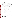to geological resources would not be significant (3.1-23) despite the impact assessment criteria that impacts would be significant if the action had the potential to increase erosion by training activities (p. 3.1-1).

Water quality impacts. The DEIS acknowledges unavoidable effects on ocean and surface water quality, including the introduction of hazardous materials from munitions, the contamination of surface drainage areas from runoff, siltation and sediment plumes, and disruption of sediments with above-average loads of organic materials and toxic metals offshore of training locations (p. 3.3-24), yet concludes that *no* short-term impacts or longterm impacts to water resources would occur (p. ES-17).

Sonar impacts on fish. The DEIS acknowledges that data regarding sonar impacts on fish is "exceedingly limited" (p. 3.9-54), documents a study that showed a statistically significant post-exposure mortality of 20 to 30%, notes that the problem with the assessment is that there are so many differences in the studies, including species, precise sound source, and spectrum of the sound, that it *is hard to even speculate* (p. 3.9-45) as to impacts, yet concluded that *no impacts* on fish are anticipated from sonar use (p. ES-23).

Impacts from noise. The DEIS concludes that no sensitive receptors (residential land uses, schools, libraries, hospitals and churches) are likely to be exposed to sound by soundgenerating training events (p. 3.5-25) and that the impacts for the preferred Alternative 1 are the same as the no action alternative (p.  $3.5-25$ , ES-17). This conclusion appears unsubstantiated, given that implementation of Alternative 1 would result in ISR/Strike aircraft events out of Andersen Air Force Base increasing by 45% over the current level (p. ES-11). The DEIS identifies an expanded noise contour showing a larger amount of off-base area impacted above 65 DNL<sup>3</sup>, and a much larger area greater than 60 DNL. EPA recommends a DNL below 55 for outdoor noise levels.

*Recommendation:* EPA recommends the impact analysis be training site-specific to facilitate more realistic and defensible impact conclusions. The Final EIS (FEIS) should attempt to discriminate among the impacts of the alternatives to a greater extent. For example, the FEIS could differentiate the degree to which erosion processes would be accelerated by each alternative, or the net deposition rate of training materials, etc, across the alternatives.

### **Mitigation disclosure and effectiveness**

Mitigation measures are not well defined in the DEIS. There are references to protective measures, but specific actions are rarely identified, and when they are, no discussion of the effectiveness of mitigation generally occurs. It is important that mitigation measures be discussed, especially if they are the basis for concluding that impacts will not be significant or not occur at all. Results of monitoring of training impacts would also be helpful to include in mitigation discussions.

<sup>&</sup>lt;sup>3</sup> Day-Night Average A-Weighted Sound Level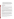*Recommendation:* EPA recommends including in the FEIS a section in each resource chapter that identifies mitigation measures and discusses their effectiveness and likelihood of implementation. Monitoring efforts should be included. Information should also be provided regarding how destruction, loss, or injury from Department of Defense activities will be monitored in the Marianas Trench Marine National Monument per the requirement in the Presidential Proclamation that requires coordination with the Department of Interior or Commence, and mitigation/restoration (p. 3.6-20).

## **Marine Communities/Corals**

## *Insufficient Impact Assessment*

The Draft Environmental Impact Statement (DEIS) evaluates impacts to marine communities, including coral communities and reefs (Section 3.6); however, the evaluation is insufficient for the following reasons:

*Coral resources were not fully identified*. There are no maps of these resources included; the DEIS includes only vague narrative descriptions of locations which tend to underestimate the value of the resource. Areas with coral coverage, even in low percentages, constitute coral reef ecosystems, and impacts to these ecosystems should be disclosed in the EIS. The DEIS does not mention coral communities in waters surrounding  $FDM<sup>4</sup>$  at all.

*Impacts to coral reefs from amphibious vehicles, especially Landing Craft Air Cushion (LCAC) vehicles, were not discussed*. We are aware from personal communications with EPA staff and the National Marine Fisheries Service that previous exercises on Dadi Beach in Guam have resulted in substantial damage to corals. Impacts from LCAC vehicles to coral communities and reefs should be identified under vessel movements and assessed. Impacts for all alternatives were deemed to be the same (p. 3.6-2) despite the fact that Alternative 1 will include 6 additional amphibious landing activities, as well as over the beach training, at landing locations on Tinian and Guam (3.10-35).

*Indirect impacts from sedimentation were not fully assessed.* Sedimentation impacts were mentioned for some activities, but not considered in the impact assessment. Sedimentation impacts from: increases in the number and size of underwater detonations at Agate Bay (from 10 net exposive weight (NEW) to 20 NEW); erosion from the "severely degraded" geological resources at Tarague Beach from the live fire range (p. 3.1-22); and the substantial erosion at Farrallon de Medinilla (FDM) (3.1-17, 23), would continue to contribute to ongoing erosion, runoff, and sediment pluming, and would impact offshore coral reefs.

*Cumulative impacts from the dredging expected for the new CVN berth as part of the Guam military build-up were not considered*. The Navy is actively planning for the proposed CVN berth in Apra Harbor, which will involve substantial dredging and coral impacts. These impacts

<sup>&</sup>lt;sup>4</sup> Spalding et al. 2001. World Atlas of Coral Reefs, 2001, and

http://ccmaserver.nos.noaa.gov/products/biogeography/us\_pac\_terr/htm/maps/33\_cover.pdf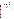are reasonably foreseeable and should be discussed. No section discussing marine communities exists in the cumulative impacts chapter, and discussion of all cumulative impacts associated with the Guam buildup is deferred to the Joint Guam Program Office EIS; this is not consistent with 40 CFR 1502.16 and 1508.8.

*Recommendation:* EPA recommends improvements to the impact assessment for marine communities, including coral communities and reefs per the comments above. All indirect and cumulative impacts should be identified and assessed. Mitigation measures to avoid impacts should be discussed, and we recommend their inclusion in the proposed action. For scheduled events, we recommend the Navy avoid training activities that result in sediment disturbance during coral spawning periods.

The DEIS states in the fish impacts chapter that "Navy mitigation measures include avoidance of areas of high productivity, discussed in Section 3.6 (Marine Communities), where some fish species tend to concentrate, further reducing the probability of habitat disturbance and injury or mortality" (p. 3.9-59). There is no mention of this mitigation in Section 3.6 (Marine Communities) or elsewhere in the DEIS; however, we strongly support this mitigation. Please clarify this mitigation measure.

### *Avoid LCAC and amphibious training on Dankulo Beach*

We recommend the Navy amend the proposed action such that Unai Dankulo (Long Beach) is not utilized for amphibious landing activities, especially LCAC landings. The DEIS states that only Unai Chulu has been used for LCAC training (p. 3.11-27), but the preferred Alternative 1 proposes to increase amphibious landing activities and over the beach training by 6 annual training events and repeatedly notes that Unai Dankulo has the capability to support LCAC landings with craft landing zone and beach improvements (p. 2-8).

Amphibious landings are likely to impact coral reefs by physical contact and propeller wash. Such impacts would be minimized by confining amphibious landings to a minimum number of beaches previously used for these landings. The DEIS indicates that Unai Dankulo is the largest beach on Tinian and has a continuous reef crest across the entire run of the beach (3.1-14). An online map also shows coral reef and hardbottom extending the entire beach (http://www.coris.noaa.gov/activities/coral\_demographics/05\_CNMI.pdf). Avoiding new training-related impacts to this resource would be more protective than utilizing it, even with protective measures, and would be more consistent with Executive Order 13089 – Coral Reef Protection. Additionally, the DEIS does not identify the needed beach improvements that would accompany the use of Unai Dankulo, nor the impacts associated with these improvements.

The DEIS states that Navy mitigation measures include avoidance of areas of high productivity (p. 3.9-59). The DEIS identifies the region surrounding Tinian as showing elevated primary production (p.3.6-10).

Finally, since Unai Dankulo is a known nesting location for the threatened green sea turtle (p. 3.8-25), and is one of the beaches most often utilized by the turtles (p. 3.8-16), avoiding use of this beach will also provide better protection for this species, more so than would the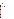implementation of protective measures. Green sea turtle populations, including those within the MIRC, are in serious decline throughout the Pacific Ocean (p. 3.8-15).

*Recommendation:* Confine amphibious landings to a minimum number of beaches previously used for these landings, and avoid training and beach improvements on Unai Dankulo (Long Beach).

### **Water Quality**

#### *Impacts from munitions*

The DEIS identifies the potential for contamination from munitions components including various heavy metals releases from sonobouys (p. 3.1-21), leaching of hazardous bomb materials (p. 3.2-15), release of cyanide from torpedoes (p. 3.2-17), various explosives compounds such as ammonium perchlorate, picric acid, etc. (p. 3.2-19), and organic chemicals from underwater detonations (p. 3.2-20). The Navy concludes that there would be no long-term degradation of water resources and no short-term impacts (p. ES-17) because contaminants would be diluted in the ocean (p. 3.2-15).

We understand the assumption regarding ocean dilution; however, the assumption should be substantiated with monitoring data. Because of the cumulative impacts to ocean water quality, good stewardship can no longer assume that the size of the ocean will dilute and disperse all pollutants to safe levels, especially considering that metals such as copper and lead bioaccumulate in marine organisms. We recommend monitoring of range areas to validate the Navy's conclusions that impacts would not result in long-term degradation of water resources. A good example is the Air Force assessment of the environmental effects of radio-frequency chaff (p. 3.2-23), which included toxicity tests using marine organisms. Designated activity zones for underwater detonations, which the DEIS states would concentrate contamination (p. 3.1-21), are possible study sites for monitoring, as are sediments offshore of training locations, which the DEIS identifies as having above-average loads of organic materials and certain toxic metals (p. 3.3-24).

The DEIS does not adequately assess the potential water quality impacts from the existing and proposed increases in munitions contaminants on FDM. The Range Condition Assessment (RCA) identifies FDM as a significant source of munitions contaminants from historic bombing. The RCA and DEIS conclude that, while there are no data nor modeling to predict transport or transformation of munitions constituents, no further analysis is required since there are no human receptors on the island. This does not speak to impacts to ecological receptors. We disagree that no further analysis is required to assess the risk of off-range release of munitions constituents (3.2-15), since eco-receptors were not considered.

Finally, the DEIS identifies the Clean Water Act as an applicable law with which the armed services must comply (p. ES-8, 1-16), and part of the impact assessment methodology includes "whether the proposed activities would violate laws or regulations adopted to protect or manage the water resource system" (p. 3.3-1). We agree that training practices should be carried out in compliance with requirements of the Clean Water Act. The EIS should describe this compliance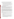more clearly. The DEIS states that water pollutants associated with Navy training activities are released into the ocean and that their release is regulated in accordance with appropriate regulatory permits (p. 3.3-8), but it is not clear to which permits this statement refers.

*Recommendation*: The Navy should conduct the necessary monitoring to substantiate the assumptions being made regarding the lack of impacts from munitions releases into the ocean environment and from FDM as a source of munitions contaminants.

In the FEIS, clarify the manner in which the proposed action will comply with the Clean Water Act and other laws or regulations adopted to protect or manage the water resource system. Identify the type(s) of permits that regulate the release of water pollutants associated with Navy training activities into the ocean.

### *Disclosure of SINKEX contaminants*

The DEIS references the General Permit issued by EPA under the Marine Protection, Research, and Sanctuaries Act (MPRSA) for the sinking exercise (SINKEX). It should be noted that the requirements of both the 1999 EPA/Navy agreement and the SINKEX General Permit under 40 CFR 229.2 are to be met in order to comply with the MPRSA SINKEX General Permit. The 1999 agreement letter, which contains specific requirements, is not mentioned.

The DEIS refers to the potential for floating non-hazardous expended material to be lost (to become persistent seabed litter) or washed ashore as flotsam (p. 3.2-22). It should be noted that the SINKEX general permit under the MPRSA states that "Before sinking, appropriate measures shall be taken by qualified personnel at a Navy or other certified facility to remove to the maximum extent practicable all materials which may degrade the marine environment, including without limitation removing from the hulls other pollutants and all readily detachable material capable of creating debris or contributing to chemical pollution." If the sinking exercise could create floating non-hazardous expended material that will create persistent marine debris or has the potential to wash ashore, the Navy should attempt to remove such material from the marine environment.

Additionally, while disposal of materials during SINKEX is a permitted activity, the EIS should disclose the amount of polychlorinated biphenyls (PCBs) that would be disposed into the ocean under each of the project alternatives.

*Recommendations:* The General Permit and EPA/Navy agreement required initial monitoring data. EPA recommends a summary of these data, as well as an estimate of PCBs that would be left in place under each project alternative, be included in the Final EIS for disclosure.

EPA also recommends that specific text be provided detailing the environmental preparation the Navy undertakes to minimize the impacts that SINKEX may have on the marine environment. More specifically, there should be a discussion pertaining to how the Navy meets the conditions of the MPRSA General Permit (which includes the requirements in the 1999 Navy/EPA agreement).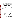Finally, we recommend the following changes to the document text:

- On p.3.3-22, under the heading "3.2.2.3.3 Aerial and Surface Targets," there is text that states "The vessels used as targets are selected from a list of CNO approved vessels that have been cleaned in accordance with USEPA guidelines." This sentence should be re-written as follows: "The vessels used as targets are selected from a list of CNO approved vessels that have been cleaned inaccordance with USEPA guidelines according to the requirements set forth under Section 102 of the Marine Protection, Research, and Sanctuaries Act (40 CFR § 229.2) and the August 1999 Navy/EPA Agreement that details vessel preparation requirements to address PCBs under the SINKEX permit."
- On p. ES-8, the Marine Protection, Research and Sanctuaries Act (MPRSA) should be added to the list of applicable environmental requirements.

### **Limited Range of Alternatives**

The DEIS evaluates a limited range of alternatives. The alternatives analysis of this DEIS would be much improved by including alternatives that represent a more diverse level and mix of training instead of formulating alternatives that simply build upon one another. The inclusion of an alternative with additional appropriate mitigation (40 CFR 1502.14(f)) would also expand the range of alternatives. The use of geographic and/or temporal exclusions can potentially be effective in reducing impacts to marine resources. EPA recommended, in our scoping comments (letter dated July 16, 2007), that such a mitigated alternative be evaluated. We note that the DEIS did not even consider this suggestion in the section discussing alternatives considered but dismissed (Section 2.2.2).

*Recommendation:* EPA recommends an alternative with additional mitigation measures be developed in the Final EIS, and that an alternative with geographic and/or temporal exclusions be considered. We recommend the identification of geographic areas where training exclusions would be especially beneficial to environmental resources, such as the Marianas Trench Marine National Monument<sup>5</sup> and discussion of how excluding such an area would affect training goals and the underlying purpose and need.

## **Impacts to Marine Mammals from Mid-frequency Active (MFA) Sonar**

EPA has concerns regarding increased impacts to marine mammals from MFA sonar over historic exposure levels. The DEIS estimates that the preferred Alternative 1 will increase the number of behaviorally harassed animals by 9,543 (from 67,872 to 77,415); increase the number of animals experiencing temporary hearing loss lasting several minutes to several days by 149 (from 1,097 to 1,246); and double the animals experiencing permanent hearing loss (from 1 to 2) (pp. 3.7-181 – 3.7-182). The proposed action will also include low-frequency active sonar (LFA), which unlike MFA sonar, can travel great distances. Impacts from LFA sonar were

<sup>5</sup> The Presidential Proclamation did not prohibit Department of Defense activities in the Marianas Trench Marine National Monument, however, the value of its marine resources should prompt the Navy to avoid impacts to the greatest extent practicable.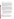evaluated in the Surveillance Towed Array Sensor System (SURTASS) Low Frequency Active (LFA) EIS.

We are also concerned that the impact assessment methodology seemed to assume a uniform distribution of animals. The DEIS states that "Uniform animal distribution is overlaid onto the calculated sound fields to assess if animals are physically present at sufficient received sound levels to be considered "exposed" to the sound" (p. 3.7-62). In its descriptions of the distribution of various marine mammals in the MIRC, based on the Mariana Islands Sea Turtle and Cetacean Survey (2007), marine mammals appear to be concentrated in certain areas, mainly associated with the Marianas Trench or other bathymetric relief (Section 3.7.2). Additionally, the assessment methodology does not seem sufficiently conservative since it does not estimate indirect impacts/secondary effects, and counts a maximum of a single take within a 24 hour period regardless of additional harassment (p. 3.2-68).

The DEIS recognizes that there are many unknowns in assessing the effects and significance of marine mammal responses to sound exposures but concludes that no significant impacts to marine mammals will occur for all the project alternatives (p. 3.7-181). Applying the criteria for assessing significance under the Council on Environmental Quality (CEQ) Regulations, especially the degree to which the effects on the quality of the human environment are likely to be highly (scientifically) controversial, the degree to which the possible effects on the human environment are highly uncertain or involve unique or unknown risks, and the degree to which the action may adversely affect endangered or threatened species (40 CFR 1508.27(4),(5) and (9) respectively), these impacts are potentially significant under NEPA. We understand the Navy is working with the National Marine Fisheries Service to obtain a Letter of Authorization under the Marine Mammal Protection Act.

*Recommendation:* We recommend the Navy consider the scientific controversy, uncertain/unknown risks, and presence of threatened and endangered species in assessing significance of impacts from MFA sonar on marine resources. EPA recommends the Navy not exceed the historic exposure levels in the MIRC, and operate sonar at the lowest practicable level to achieve mandated training levels. We recommend the approach taken for the Hawaii Range Complex be utilized, where an additional alternative was created for the Final EIS that held sonar use at existing levels while increasing training activity.

The DEIS should recognize the Marianas Trench as an areas of greater biological significance and avoid this area to the greatest extent practicable.

# **Additional Comments**

*Biological Resources.* EPA has concerns regarding the potential introduction of the invasive brown-tree snake (BTS) to Tinian or other locations in the Northern Mariana Islands. The DEIS states that, for Tinian and Saipan, sightings in shipments and in the wild have increased through the 1990s and early 2000s, and a reliable sighting was reported from Saipan in April 2008 (p. 3.11-55). We encourage the Navy to work closely with the U.S. Fish and Wildlife Service